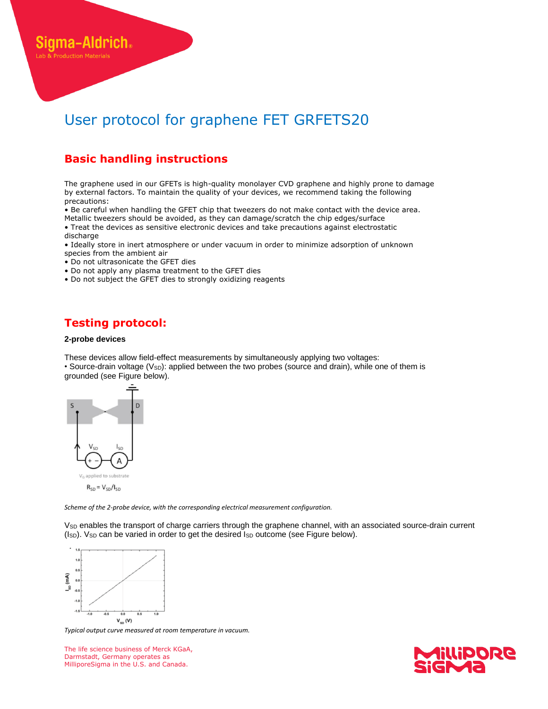# User protocol for graphene FET GRFETS20

## **Basic handling instructions**

The graphene used in our GFETs is high-quality monolayer CVD graphene and highly prone to damage by external factors. To maintain the quality of your devices, we recommend taking the following precautions:

• Be careful when handling the GFET chip that tweezers do not make contact with the device area. Metallic tweezers should be avoided, as they can damage/scratch the chip edges/surface

• Treat the devices as sensitive electronic devices and take precautions against electrostatic discharge

• Ideally store in inert atmosphere or under vacuum in order to minimize adsorption of unknown species from the ambient air

- Do not ultrasonicate the GFET dies
- Do not apply any plasma treatment to the GFET dies
- Do not subject the GFET dies to strongly oxidizing reagents

## **Testing protocol:**

#### **2-probe devices**

ma-Aldrich.

These devices allow field-effect measurements by simultaneously applying two voltages: • Source-drain voltage (V<sub>SD</sub>): applied between the two probes (source and drain), while one of them is grounded (see Figure below).



*Scheme of the 2-probe device, with the corresponding electrical measurement configuration.*

V<sub>SD</sub> enables the transport of charge carriers through the graphene channel, with an associated source-drain current (Isp). Vsp can be varied in order to get the desired Isp outcome (see Figure below).



*Typical output curve measured at room temperature in vacuum.*

The life science business of Merck KGaA, Darmstadt, Germany operates as MilliporeSigma in the U.S. and Canada.